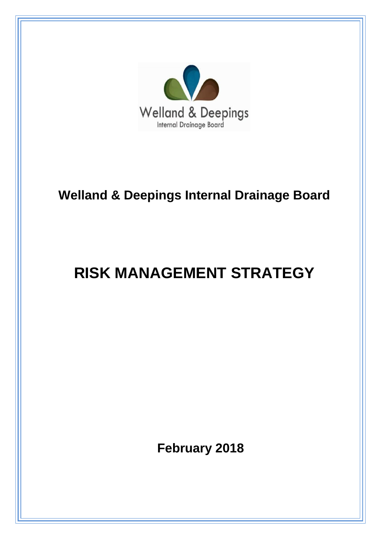

# **Welland & Deepings Internal Drainage Board**

# **RISK MANAGEMENT STRATEGY**

 **February 2018**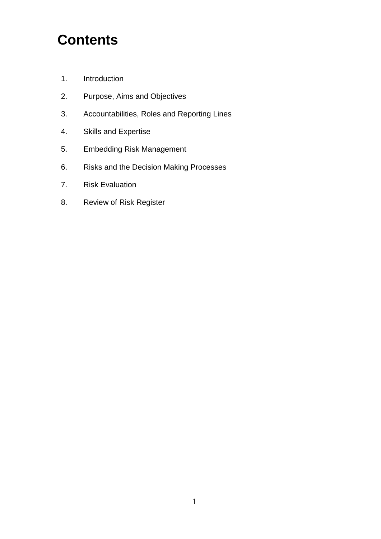# **Contents**

- 1. Introduction
- 2. Purpose, Aims and Objectives
- 3. Accountabilities, Roles and Reporting Lines
- 4. Skills and Expertise
- 5. Embedding Risk Management
- 6. Risks and the Decision Making Processes
- 7. Risk Evaluation
- 8. Review of Risk Register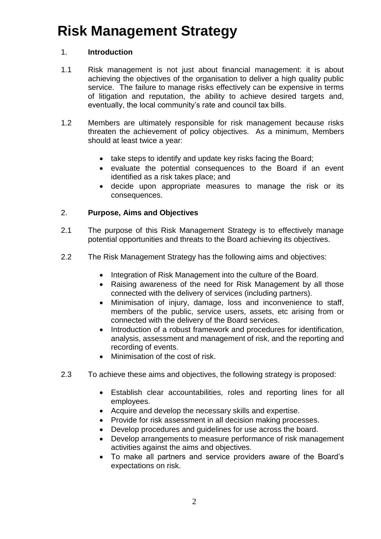# **Risk Management Strategy**

### 1. **Introduction**

- 1.1 Risk management is not just about financial management: it is about achieving the objectives of the organisation to deliver a high quality public service. The failure to manage risks effectively can be expensive in terms of litigation and reputation, the ability to achieve desired targets and, eventually, the local community's rate and council tax bills.
- 1.2 Members are ultimately responsible for risk management because risks threaten the achievement of policy objectives. As a minimum, Members should at least twice a year:
	- take steps to identify and update key risks facing the Board;
	- evaluate the potential consequences to the Board if an event identified as a risk takes place; and
	- decide upon appropriate measures to manage the risk or its consequences.

#### 2. **Purpose, Aims and Objectives**

- 2.1 The purpose of this Risk Management Strategy is to effectively manage potential opportunities and threats to the Board achieving its objectives.
- 2.2 The Risk Management Strategy has the following aims and objectives:
	- Integration of Risk Management into the culture of the Board.
	- Raising awareness of the need for Risk Management by all those connected with the delivery of services (including partners).
	- Minimisation of injury, damage, loss and inconvenience to staff, members of the public, service users, assets, etc arising from or connected with the delivery of the Board services.
	- Introduction of a robust framework and procedures for identification, analysis, assessment and management of risk, and the reporting and recording of events.
	- Minimisation of the cost of risk.
- 2.3 To achieve these aims and objectives, the following strategy is proposed:
	- Establish clear accountabilities, roles and reporting lines for all employees.
	- Acquire and develop the necessary skills and expertise.
	- Provide for risk assessment in all decision making processes.
	- Develop procedures and guidelines for use across the board.
	- Develop arrangements to measure performance of risk management activities against the aims and objectives.
	- To make all partners and service providers aware of the Board's expectations on risk.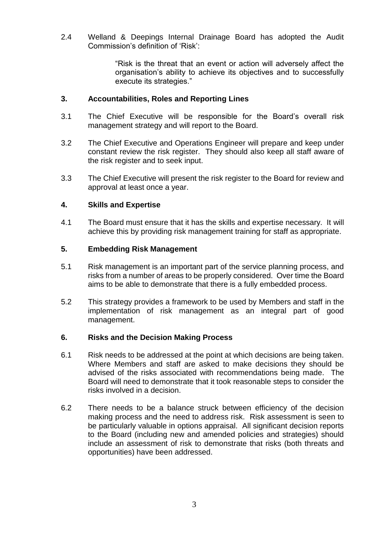2.4 Welland & Deepings Internal Drainage Board has adopted the Audit Commission's definition of 'Risk':

> "Risk is the threat that an event or action will adversely affect the organisation's ability to achieve its objectives and to successfully execute its strategies."

### **3. Accountabilities, Roles and Reporting Lines**

- 3.1 The Chief Executive will be responsible for the Board's overall risk management strategy and will report to the Board.
- 3.2 The Chief Executive and Operations Engineer will prepare and keep under constant review the risk register. They should also keep all staff aware of the risk register and to seek input.
- 3.3 The Chief Executive will present the risk register to the Board for review and approval at least once a year.

#### **4. Skills and Expertise**

4.1 The Board must ensure that it has the skills and expertise necessary. It will achieve this by providing risk management training for staff as appropriate.

#### **5. Embedding Risk Management**

- 5.1 Risk management is an important part of the service planning process, and risks from a number of areas to be properly considered. Over time the Board aims to be able to demonstrate that there is a fully embedded process.
- 5.2 This strategy provides a framework to be used by Members and staff in the implementation of risk management as an integral part of good management.

#### **6. Risks and the Decision Making Process**

- 6.1 Risk needs to be addressed at the point at which decisions are being taken. Where Members and staff are asked to make decisions they should be advised of the risks associated with recommendations being made. The Board will need to demonstrate that it took reasonable steps to consider the risks involved in a decision.
- 6.2 There needs to be a balance struck between efficiency of the decision making process and the need to address risk. Risk assessment is seen to be particularly valuable in options appraisal. All significant decision reports to the Board (including new and amended policies and strategies) should include an assessment of risk to demonstrate that risks (both threats and opportunities) have been addressed.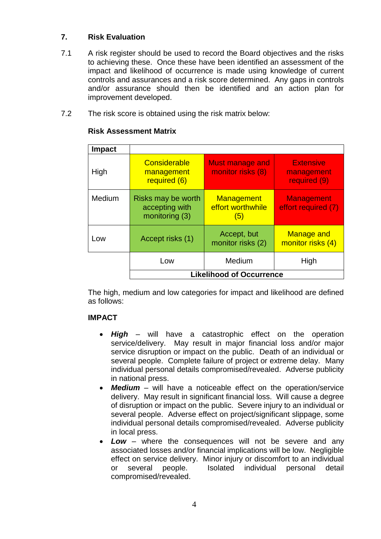### **7. Risk Evaluation**

- 7.1 A risk register should be used to record the Board objectives and the risks to achieving these. Once these have been identified an assessment of the impact and likelihood of occurrence is made using knowledge of current controls and assurances and a risk score determined. Any gaps in controls and/or assurance should then be identified and an action plan for improvement developed.
- 7.2 The risk score is obtained using the risk matrix below:

| <b>Impact</b> |                                                        |                                               |                                                |  |  |  |  |  |  |
|---------------|--------------------------------------------------------|-----------------------------------------------|------------------------------------------------|--|--|--|--|--|--|
| High          | Considerable<br>management<br>required (6)             | Must manage and<br>monitor risks (8)          | <b>Extensive</b><br>management<br>required (9) |  |  |  |  |  |  |
| Medium        | Risks may be worth<br>accepting with<br>monitoring (3) | <b>Management</b><br>effort worthwhile<br>(5) | <b>Management</b><br>effort required (7)       |  |  |  |  |  |  |
| Low           | Accept risks (1)                                       | Accept, but<br>monitor risks (2)              | <b>Manage and</b><br>monitor risks (4)         |  |  |  |  |  |  |
|               | Low                                                    | Medium                                        | High                                           |  |  |  |  |  |  |
|               | <b>Likelihood of Occurrence</b>                        |                                               |                                                |  |  |  |  |  |  |

#### **Risk Assessment Matrix**

The high, medium and low categories for impact and likelihood are defined as follows:

### **IMPACT**

- *High* will have a catastrophic effect on the operation service/delivery. May result in major financial loss and/or major service disruption or impact on the public. Death of an individual or several people. Complete failure of project or extreme delay. Many individual personal details compromised/revealed. Adverse publicity in national press.
- *Medium* will have a noticeable effect on the operation/service delivery. May result in significant financial loss. Will cause a degree of disruption or impact on the public. Severe injury to an individual or several people. Adverse effect on project/significant slippage, some individual personal details compromised/revealed. Adverse publicity in local press.
- *Low* where the consequences will not be severe and any associated losses and/or financial implications will be low. Negligible effect on service delivery. Minor injury or discomfort to an individual or several people. Isolated individual personal detail compromised/revealed.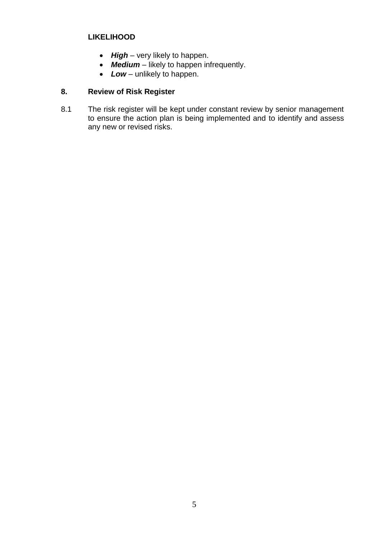#### **LIKELIHOOD**

- High very likely to happen.
- *Medium* likely to happen infrequently.
- Low unlikely to happen.

## **8. Review of Risk Register**

8.1 The risk register will be kept under constant review by senior management to ensure the action plan is being implemented and to identify and assess any new or revised risks.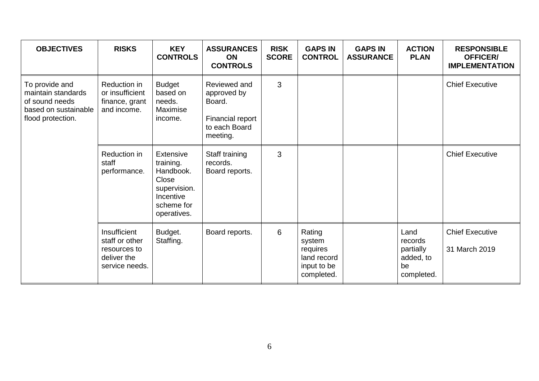| <b>OBJECTIVES</b>                                                                                   | <b>RISKS</b>                                                                    | <b>KEY</b><br><b>CONTROLS</b>                                                                          | <b>ASSURANCES</b><br><b>ON</b><br><b>CONTROLS</b>                                      | <b>RISK</b><br><b>SCORE</b> | <b>GAPS IN</b><br><b>CONTROL</b>                                         | <b>GAPS IN</b><br><b>ASSURANCE</b> | <b>ACTION</b><br><b>PLAN</b>                                  | <b>RESPONSIBLE</b><br><b>OFFICER/</b><br><b>IMPLEMENTATION</b> |
|-----------------------------------------------------------------------------------------------------|---------------------------------------------------------------------------------|--------------------------------------------------------------------------------------------------------|----------------------------------------------------------------------------------------|-----------------------------|--------------------------------------------------------------------------|------------------------------------|---------------------------------------------------------------|----------------------------------------------------------------|
| To provide and<br>maintain standards<br>of sound needs<br>based on sustainable<br>flood protection. | Reduction in<br>or insufficient<br>finance, grant<br>and income.                | <b>Budget</b><br>based on<br>needs.<br>Maximise<br>income.                                             | Reviewed and<br>approved by<br>Board.<br>Financial report<br>to each Board<br>meeting. | 3                           |                                                                          |                                    |                                                               | <b>Chief Executive</b>                                         |
|                                                                                                     | Reduction in<br>staff<br>performance.                                           | Extensive<br>training.<br>Handbook.<br>Close<br>supervision.<br>Incentive<br>scheme for<br>operatives. | Staff training<br>records.<br>Board reports.                                           | 3                           |                                                                          |                                    |                                                               | <b>Chief Executive</b>                                         |
|                                                                                                     | Insufficient<br>staff or other<br>resources to<br>deliver the<br>service needs. | Budget.<br>Staffing.                                                                                   | Board reports.                                                                         | 6                           | Rating<br>system<br>requires<br>land record<br>input to be<br>completed. |                                    | Land<br>records<br>partially<br>added, to<br>be<br>completed. | <b>Chief Executive</b><br>31 March 2019                        |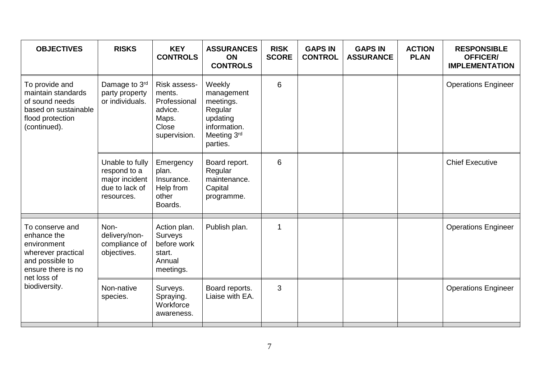| <b>OBJECTIVES</b>                                                                                                                            | <b>RISKS</b>                                                                      | <b>KEY</b><br><b>CONTROLS</b>                                                       | <b>ASSURANCES</b><br><b>ON</b><br><b>CONTROLS</b>                                                   | <b>RISK</b><br><b>SCORE</b> | <b>GAPS IN</b><br><b>CONTROL</b> | <b>GAPS IN</b><br><b>ASSURANCE</b> | <b>ACTION</b><br><b>PLAN</b> | <b>RESPONSIBLE</b><br><b>OFFICER/</b><br><b>IMPLEMENTATION</b> |
|----------------------------------------------------------------------------------------------------------------------------------------------|-----------------------------------------------------------------------------------|-------------------------------------------------------------------------------------|-----------------------------------------------------------------------------------------------------|-----------------------------|----------------------------------|------------------------------------|------------------------------|----------------------------------------------------------------|
| To provide and<br>maintain standards<br>of sound needs<br>based on sustainable<br>flood protection<br>(continued).                           | Damage to 3rd<br>party property<br>or individuals.                                | Risk assess-<br>ments.<br>Professional<br>advice.<br>Maps.<br>Close<br>supervision. | Weekly<br>management<br>meetings.<br>Regular<br>updating<br>information.<br>Meeting 3rd<br>parties. | 6                           |                                  |                                    |                              | <b>Operations Engineer</b>                                     |
|                                                                                                                                              | Unable to fully<br>respond to a<br>major incident<br>due to lack of<br>resources. | Emergency<br>plan.<br>Insurance.<br>Help from<br>other<br>Boards.                   | Board report.<br>Regular<br>maintenance.<br>Capital<br>programme.                                   | 6                           |                                  |                                    |                              | <b>Chief Executive</b>                                         |
| To conserve and<br>enhance the<br>environment<br>wherever practical<br>and possible to<br>ensure there is no<br>net loss of<br>biodiversity. | Non-<br>delivery/non-<br>compliance of<br>objectives.                             | Action plan.<br><b>Surveys</b><br>before work<br>start.<br>Annual<br>meetings.      | Publish plan.                                                                                       | 1                           |                                  |                                    |                              | <b>Operations Engineer</b>                                     |
|                                                                                                                                              | Non-native<br>species.                                                            | Surveys.<br>Spraying.<br>Workforce<br>awareness.                                    | Board reports.<br>Liaise with EA.                                                                   | 3                           |                                  |                                    |                              | <b>Operations Engineer</b>                                     |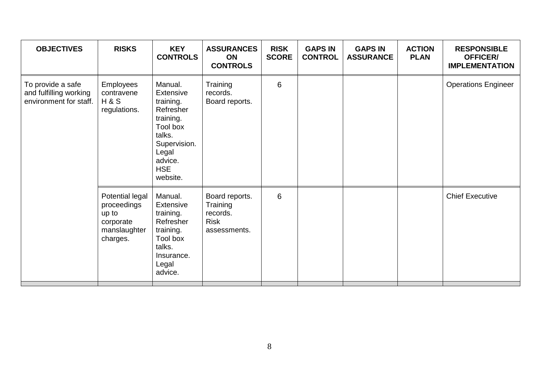| <b>OBJECTIVES</b>                                                     | <b>RISKS</b>                                                                     | <b>KEY</b><br><b>CONTROLS</b>                                                                                                                          | <b>ASSURANCES</b><br><b>ON</b><br><b>CONTROLS</b>                     | <b>RISK</b><br><b>SCORE</b> | <b>GAPS IN</b><br><b>CONTROL</b> | <b>GAPS IN</b><br><b>ASSURANCE</b> | <b>ACTION</b><br><b>PLAN</b> | <b>RESPONSIBLE</b><br><b>OFFICER/</b><br><b>IMPLEMENTATION</b> |
|-----------------------------------------------------------------------|----------------------------------------------------------------------------------|--------------------------------------------------------------------------------------------------------------------------------------------------------|-----------------------------------------------------------------------|-----------------------------|----------------------------------|------------------------------------|------------------------------|----------------------------------------------------------------|
| To provide a safe<br>and fulfilling working<br>environment for staff. | <b>Employees</b><br>contravene<br><b>H&amp;S</b><br>regulations.                 | Manual.<br><b>Extensive</b><br>training.<br>Refresher<br>training.<br>Tool box<br>talks.<br>Supervision.<br>Legal<br>advice.<br><b>HSE</b><br>website. | Training<br>records.<br>Board reports.                                | 6                           |                                  |                                    |                              | <b>Operations Engineer</b>                                     |
|                                                                       | Potential legal<br>proceedings<br>up to<br>corporate<br>manslaughter<br>charges. | Manual.<br>Extensive<br>training.<br>Refresher<br>training.<br>Tool box<br>talks.<br>Insurance.<br>Legal<br>advice.                                    | Board reports.<br>Training<br>records.<br><b>Risk</b><br>assessments. | 6                           |                                  |                                    |                              | <b>Chief Executive</b>                                         |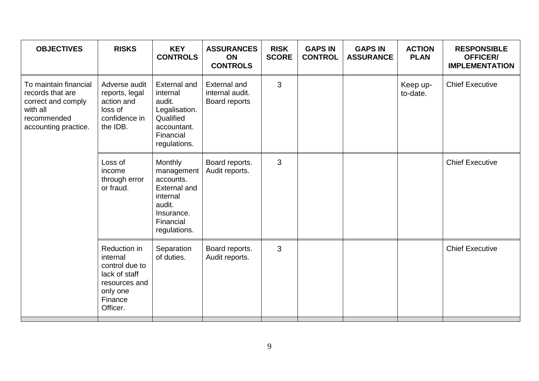| <b>OBJECTIVES</b>                                                                                                  | <b>RISKS</b>                                                                                                    | <b>KEY</b><br><b>CONTROLS</b>                                                                                       | <b>ASSURANCES</b><br>ON<br><b>CONTROLS</b>              | <b>RISK</b><br><b>SCORE</b> | <b>GAPS IN</b><br><b>CONTROL</b> | <b>GAPS IN</b><br><b>ASSURANCE</b> | <b>ACTION</b><br><b>PLAN</b> | <b>RESPONSIBLE</b><br><b>OFFICER/</b><br><b>IMPLEMENTATION</b> |
|--------------------------------------------------------------------------------------------------------------------|-----------------------------------------------------------------------------------------------------------------|---------------------------------------------------------------------------------------------------------------------|---------------------------------------------------------|-----------------------------|----------------------------------|------------------------------------|------------------------------|----------------------------------------------------------------|
| To maintain financial<br>records that are<br>correct and comply<br>with all<br>recommended<br>accounting practice. | Adverse audit<br>reports, legal<br>action and<br>loss of<br>confidence in<br>the IDB.                           | <b>External and</b><br>internal<br>audit.<br>Legalisation.<br>Qualified<br>accountant.<br>Financial<br>regulations. | <b>External and</b><br>internal audit.<br>Board reports | 3                           |                                  |                                    | Keep up-<br>to-date.         | <b>Chief Executive</b>                                         |
|                                                                                                                    | Loss of<br>income<br>through error<br>or fraud.                                                                 | Monthly<br>management<br>accounts.<br>External and<br>internal<br>audit.<br>Insurance.<br>Financial<br>regulations. | Board reports.<br>Audit reports.                        | 3                           |                                  |                                    |                              | <b>Chief Executive</b>                                         |
|                                                                                                                    | Reduction in<br>internal<br>control due to<br>lack of staff<br>resources and<br>only one<br>Finance<br>Officer. | Separation<br>of duties.                                                                                            | Board reports.<br>Audit reports.                        | 3                           |                                  |                                    |                              | <b>Chief Executive</b>                                         |